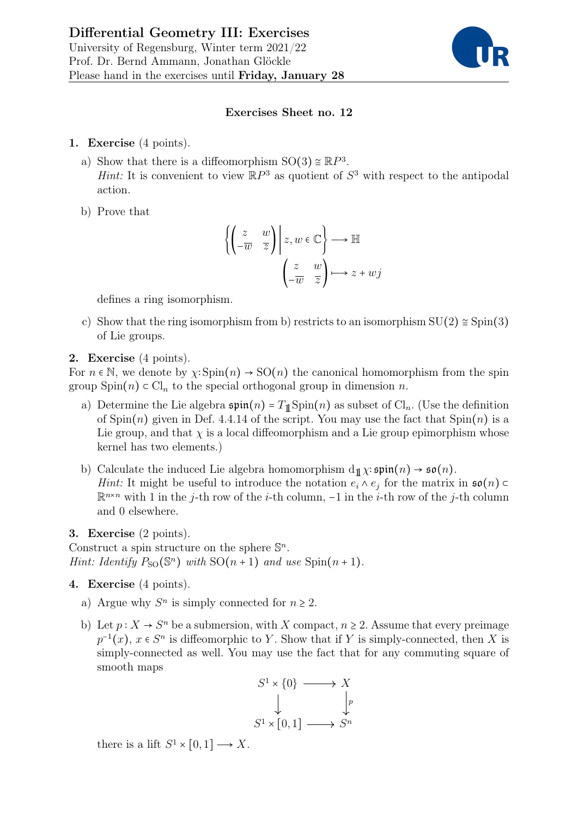

## Exercises Sheet no. 12

- 1. Exercise (4 points).
	- a) Show that there is a diffeomorphism  $SO(3) \cong \mathbb{R}P^3$ . *Hint*: It is convenient to view  $\mathbb{R}P^3$  as quotient of  $S^3$  with respect to the antipodal action.
	- b) Prove that

$$
\left\{ \begin{pmatrix} z & w \\ -\overline{w} & \overline{z} \end{pmatrix} \middle| z, w \in \mathbb{C} \right\} \longrightarrow \mathbb{H}
$$

$$
\begin{pmatrix} z & w \\ -\overline{w} & \overline{z} \end{pmatrix} \longmapsto z + wj
$$

defines a ring isomorphism.

c) Show that the ring isomorphism from b) restricts to an isomorphism  $SU(2) \approx Spin(3)$ of Lie groups.

## 2. Exercise (4 points).

For  $n \in \mathbb{N}$ , we denote by  $\chi: \text{Spin}(n) \to \text{SO}(n)$  the canonical homomorphism from the spin group  $Spin(n) \subset Cl_n$  to the special orthogonal group in dimension n.

- a) Determine the Lie algebra  $\mathfrak{spin}(n) = T_{\mathbb{1}} \text{Spin}(n)$  as subset of Cl<sub>n</sub>. (Use the definition of  $Spin(n)$  given in Def. 4.4.14 of the script. You may use the fact that  $Spin(n)$  is a Lie group, and that  $\chi$  is a local diffeomorphism and a Lie group epimorphism whose kernel has two elements.)
- b) Calculate the induced Lie algebra homomorphism  $d_1\chi$ :  $\mathfrak{spin}(n) \rightarrow \mathfrak{so}(n)$ . *Hint*: It might be useful to introduce the notation  $e_i \wedge e_j$  for the matrix in  $\mathfrak{so}(n)$  $\mathbb{R}^{n \times n}$  with 1 in the j-th row of the *i*-th column, -1 in the *i*-th row of the j-th column and 0 elsewhere.

## 3. Exercise (2 points).

Construct a spin structure on the sphere  $\mathbb{S}^n$ . Hint: Identify  $P_{\text{SO}}(\mathbb{S}^n)$  with  $\text{SO}(n+1)$  and use  $\text{Spin}(n+1)$ .

## 4. Exercise (4 points).

- a) Argue why  $S<sup>n</sup>$  is simply connected for  $n \ge 2$ .
- b) Let  $p: X \to S^n$  be a submersion, with X compact,  $n \geq 2$ . Assume that every preimage  $p^{-1}(x)$ ,  $x \in S^n$  is diffeomorphic to Y. Show that if Y is simply-connected, then X is simply-connected as well. You may use the fact that for any commuting square of smooth maps

$$
S^1 \times \{0\} \longrightarrow X
$$
  
\n
$$
\downarrow \qquad \qquad \downarrow p
$$
  
\n
$$
S^1 \times [0,1] \longrightarrow S^n
$$

there is a lift  $S^1 \times [0,1] \longrightarrow X$ .